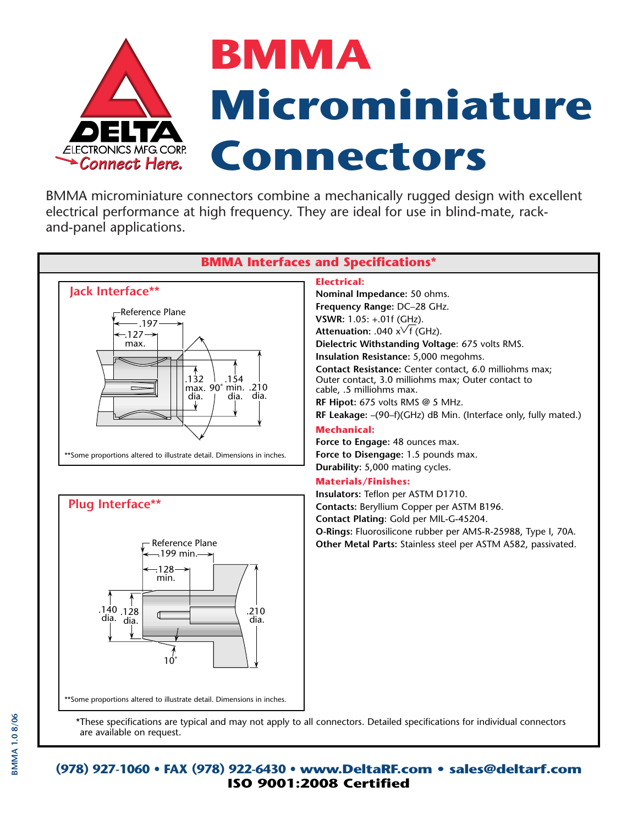<span id="page-0-0"></span>

BMMA microminiature connectors combine a mechanically rugged design with excellent electrical performance at high frequency. They are ideal for use in blind-mate, rackand-panel applications.



**O-Rings:** Fluorosilicone rubber per AMS-R-25988, Type I, 70A. **Other Metal Parts:** Stainless steel per ASTM A582, passivated.



\*These specifications are typical and may not apply to all connectors. Detailed specifications for individual connectors are available on request.

**(978) 927-1060 • FAX (978) 922-6430 • www.DeltaRF.com • sales@deltarf.com ISO 9001:2008 Certified**